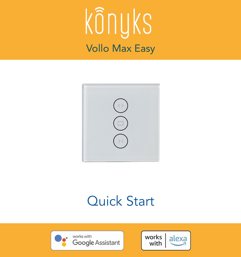



### Quick Start



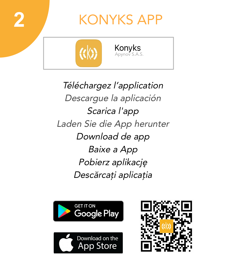

### KONYKS APP



Téléchargez l'application Descargue la aplicación Scarica l'app Laden Sie die App herunter Download de app Baixe a App Pobierz aplikację Descărcați aplicația



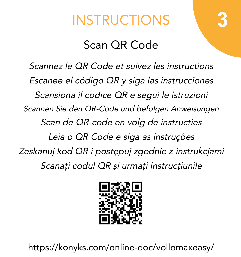# INSTRUCTIONS **3**

#### Scan QR Code

Scannez le QR Code et suivez les instructions Escanee el código QR y siga las instrucciones Scansiona il codice QR e segui le istruzioni Scannen Sie den QR-Code und befolgen Anweisungen Scan de QR-code en volg de instructies Leia o QR Code e siga as instruções Zeskanuj kod QR i postępuj zgodnie z instrukcjami Scanați codul QR și urmați instrucțiunile



https://konyks.com/online-doc/vollomaxeasy/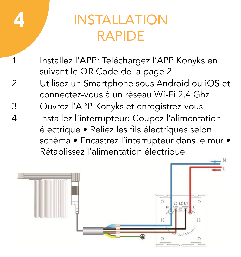# **4**

# INSTALLATION RAPIDE

- 1. Installez l'APP: Téléchargez l'APP Konyks en suivant le QR Code de la page 2
- 2. Utilisez un Smartphone sous Android ou iOS et connectez-vous à un réseau Wi-Fi 2.4 Ghz
- 3. Ouvrez l'APP Konyks et enregistrez-vous
- 4. Installez l'interrupteur: Coupez l'alimentation électrique • Reliez les fils électriques selon schéma • Encastrez l'interrupteur dans le mur • Rétablissez l'alimentation électrique

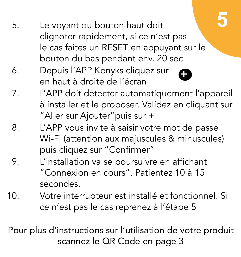- 5. Le voyant du bouton haut doit clignoter rapidement, si ce n'est pas le cas faites un RESET en appuyant sur le bouton du bas pendant env. 20 sec
- 6. Depuis l'APP Konyks cliquez sur en haut à droite de l'écran



- 7. L'APP doit détecter automatiquement l'appareil à installer et le proposer. Validez en cliquant sur "Aller sur Ajouter"puis sur +
- 8. L'APP vous invite à saisir votre mot de passe Wi-Fi (attention aux majuscules & minuscules) puis cliquez sur "Confirmer"
- 9. L'installation va se poursuivre en affichant "Connexion en cours". Patientez 10 à 15 secondes.
- 10. Votre interrupteur est installé et fonctionnel. Si ce n'est pas le cas reprenez à l'étape 5

Pour plus d'instructions sur l'utilisation de votre produit scannez le QR Code en page 3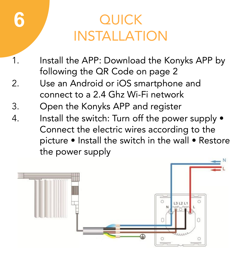# **OUICK** INSTALLATION

- 1. Install the APP: Download the Konyks APP by following the QR Code on page 2
- 2. Use an Android or iOS smartphone and connect to a 2.4 Ghz Wi-Fi network
- 3. Open the Konyks APP and register

**6**

4. Install the switch: Turn off the power supply  $\bullet$ Connect the electric wires according to the picture • Install the switch in the wall • Restore the power supply

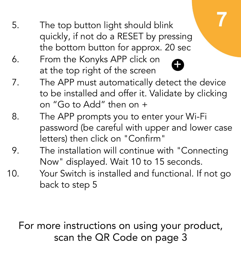- 5. The top button light should blink quickly, if not do a RESET by pressing the bottom button for approx. 20 sec
- 0 6. From the Konyks APP click on at the top right of the screen
- 7. The APP must automatically detect the device to be installed and offer it. Validate by clicking on "Go to Add" then on +

**7**

- 8. The APP prompts you to enter your Wi-Fi password (be careful with upper and lower case letters) then click on "Confirm"
- 9. The installation will continue with "Connecting Now" displayed. Wait 10 to 15 seconds.
- 10. Your Switch is installed and functional. If not go back to step 5

#### For more instructions on using your product, scan the QR Code on page 3